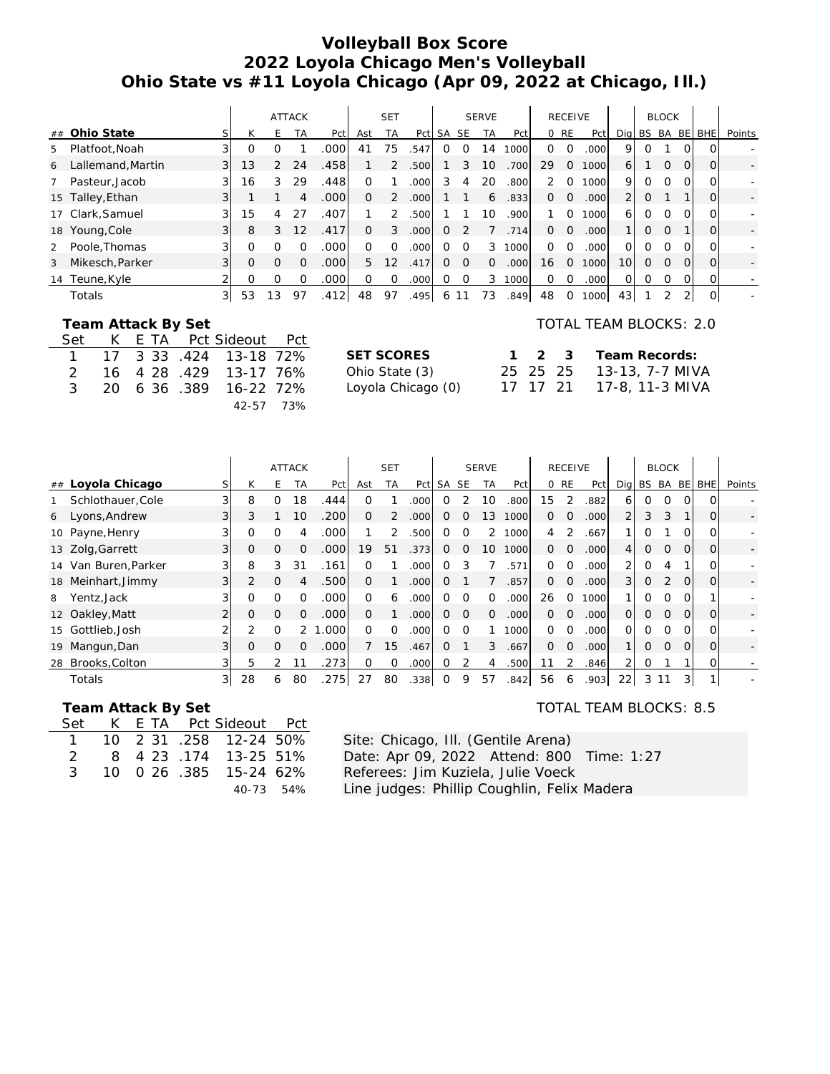# **Volleyball Box Score 2022 Loyola Chicago Men's Volleyball Ohio State vs #11 Loyola Chicago (Apr 09, 2022 at Chicago, Ill.)**

|                |                   |                   |    |          | <b>ATTACK</b>   |       |     | <b>SET</b> |                   |              |                  | <b>SERVE</b> |      |          | <b>RECEIVE</b> |                   |                 |              | <b>BLOCK</b> |          |              |        |
|----------------|-------------------|-------------------|----|----------|-----------------|-------|-----|------------|-------------------|--------------|------------------|--------------|------|----------|----------------|-------------------|-----------------|--------------|--------------|----------|--------------|--------|
|                | ## Ohio State     |                   | К  | F.       | <b>TA</b>       | Pct   | Ast | ТA         | Pct               | SA SE        |                  | <b>TA</b>    | Pctl |          | 0 RE           | Pct               |                 | Dig BS BA BE |              |          | <b>BHE</b>   | Points |
| 5              | Platfoot, Noah    |                   | O  | Ω        |                 | .000  | 41  | 75         | .547              | $\Omega$     | $\left( \right)$ | 14           | 1000 | $\Omega$ | $\Omega$       | .000              | 9               | Ω            |              | ΩI       | $\Omega$     |        |
| 6              | Lallemand, Martin | $\lvert 3 \rvert$ | Ι3 | 2        | 24              | .458  |     | 2          | .500              |              | 3                | 10           | .700 | 29       | $\Omega$       | 1000              | 61              |              | $\Omega$     | $\Omega$ | 0l           |        |
|                | Pasteur, Jacob    |                   | 16 | 3        | 29              | .448  | 0   |            | .000              | 3.           | 4                | 20           | .800 | 2        | $\Omega$       | 1000              | 9               | 0            | $\Omega$     | ΩI       | $\Omega$     |        |
|                | 15 Talley, Ethan  | 31                |    |          | 4               | .000  | 0   | 2          | .000 <sub>l</sub> |              |                  | 6            | .833 | $\Omega$ | $\overline{O}$ | .000              | 2 <sup>1</sup>  | 0            |              |          | $\Omega$     |        |
|                | 17 Clark, Samuel  |                   | 15 | 4        | 27              | .407' |     | 2          | .500              |              |                  | 10           | .900 |          | $\Omega$       | 1000              | 61              | Ω            | $\Omega$     | $\Omega$ | $\Omega$     |        |
|                | 18 Young, Cole    | $\overline{3}$    | 8  | 3        | 12 <sup>°</sup> | .417  | 0   | 3          | .000              | 0            |                  |              | .714 | $\Omega$ | $\Omega$       | .000              | 11              | Ω            | $\Omega$     |          | $\Omega$     |        |
| $\overline{2}$ | Poole, Thomas     |                   |    | O        |                 | .000  | 0   | ∩          | .000              | <sup>o</sup> | $\Omega$         | 3            | 1000 | $\Omega$ | $\Omega$       | .000              | ΩI              | 0            | $\Omega$     | 0        | $\Omega$     |        |
| 3              | Mikesch, Parker   | 3                 | Ω  | $\Omega$ |                 | .000  | 5   | 12         | .417              | $\Omega$     | $\Omega$         | $\Omega$     | .000 | 16       | $\Omega$       | 1000              | 10 <sup>1</sup> | Ω            | $\Omega$     | $\Omega$ | $\Omega$     |        |
| 14             | Teune, Kyle       |                   |    | O        |                 | .000  | 0   | Ω          | .000              |              | 0                | 3            | 1000 | $\Omega$ | $\Omega$       | .000 <sub>l</sub> | Οl              | Ω            | 0            | ΩI       | Οı           |        |
|                | Totals            | $\lvert 3 \rvert$ | 53 | 13       | 97              | .412  | 48  | 97         | .495              | 6            |                  | 73           | .849 | 48       |                | 1000              | 43              |              |              |          | <sup>O</sup> |        |

### **Team Attack By Set**

|  |  | Set K E TA Pct Sideout Pct |  |
|--|--|----------------------------|--|
|  |  | 1 17 3 33 .424 13-18 72%   |  |
|  |  | 2 16 4 28 4 29 13 - 17 76% |  |
|  |  | 3 20 6 36 .389 16-22 72%   |  |
|  |  | 42-57 73%                  |  |

| TOTAL TEAM BLOCKS: 2.0 |
|------------------------|
|                        |

| <b>SET SCORES</b>  |  | 1 2 3 Team Records:      |
|--------------------|--|--------------------------|
| Ohio State (3)     |  | 25 25 25 13-13, 7-7 MIVA |
| Loyola Chicago (0) |  | 17 17 21 17-8, 11-3 MIVA |

|                      |                   |                |              |          | <b>ATTACK</b> |                   |          | <b>SET</b> |      |           |           | <b>SERVE</b> |      |          | <b>RECEIVE</b> |       |                |              | <b>BLOCK</b>   |           |                |        |
|----------------------|-------------------|----------------|--------------|----------|---------------|-------------------|----------|------------|------|-----------|-----------|--------------|------|----------|----------------|-------|----------------|--------------|----------------|-----------|----------------|--------|
| ##                   | Loyola Chicago    | S              | К            | F.       | TA            | Pct               | Ast      | <b>TA</b>  | Pct  | <b>SA</b> | <b>SE</b> | <b>TA</b>    | Pct  |          | 0 RE           | Pct   |                | Dig BS BA    |                | <b>BE</b> | <b>BHE</b>     | Points |
|                      | Schlothauer, Cole | $\overline{3}$ | 8            | $\Omega$ | 18            | .444              | $\Omega$ |            | .000 | 0         |           | 10           | .800 | 15       | 2              | .882  | 6              | 0            | $\Omega$       |           | 0              |        |
| Lyons, Andrew<br>6   |                   | 31             | 3            |          | 10            | .200              | $\Omega$ |            | .000 | 0         | O         | 13           | 1000 | $\Omega$ | $\Omega$       | .000  | 2              | 3            | 3              |           | 0              |        |
| 10 Payne, Henry      |                   |                | 0            |          | 4             | .000              |          |            | .500 | 0         | 0         |              | 1000 | 4        | 2              | .667  |                | O            |                |           | Ω              |        |
| 13 Zolg, Garrett     |                   | 31             | $\mathbf{O}$ | $\Omega$ | $\Omega$      | .000 <sub>l</sub> | 19       | 51         | .373 | 0         | $\Omega$  | 10           | 1000 | $\Omega$ | $\Omega$       | .000  | $\overline{4}$ | 0            | 0              | $\Omega$  | $\Omega$       |        |
| 14 Van Buren, Parker |                   |                | 8            | 3        | 31            | .161              | $\Omega$ |            | .000 | O         | 3         |              | 571  | $\Omega$ | $\Omega$       | .000  | 2              | 0            | 4              |           | Ω              |        |
| 18 Meinhart, Jimmy   |                   | $\overline{3}$ | 2            | $\Omega$ | 4             | .500              | $\Omega$ |            | .000 | 0         |           |              | .857 | $\Omega$ | $\Omega$       | .000  | $\overline{3}$ | $\mathbf{O}$ | 2              | $\Omega$  | $\overline{O}$ |        |
| Yentz, Jack<br>8     |                   |                | $\Omega$     | $\Omega$ | O             | .000 <sub>l</sub> | $\Omega$ | 6          | .000 | 0         | $\Omega$  | O.           | 000  | 26       | $\Omega$       | 1000  |                | 0            | $\Omega$       | $\Omega$  |                |        |
| 12 Oakley, Matt      |                   |                | 0            | $\Omega$ |               | .000              | $\Omega$ |            | .000 | 0         | $\Omega$  | $\Omega$     | 000  | $\Omega$ | $\Omega$       | .000  | $\overline{O}$ | $\mathbf{O}$ | $\Omega$       | $\Omega$  | 0              |        |
| 15 Gottlieb, Josh    |                   |                | 2            | O        |               | .000              | $\Omega$ | O          | .000 | Ο         | $\Omega$  |              | 1000 | $\Omega$ | $\Omega$       | .0001 | $\Omega$       | 0            | $\Omega$       | $\Omega$  | O              |        |
| Mangun, Dan<br>19    |                   | 31             | $\mathbf{O}$ | $\Omega$ | $\Omega$      | .000              |          | 15         | .467 | Ω         |           | 3            | .667 | $\Omega$ | $\Omega$       | .000  |                | 0            | $\overline{O}$ | $\Omega$  | $\Omega$       |        |
| Brooks, Colton<br>28 |                   |                | 5            |          |               | 273               | $\Omega$ | $\Omega$   | .000 | 0         | 2         | 4            | .500 | 11       |                | .846  | 2              | 0            |                |           | $\overline{O}$ |        |
| Totals               |                   | 3              | 28           | 6        | 80            | .275              | 27       | 80         | .338 | 0         | 9         | 57           | 842  | 56       | 6              | .903  | 22             | 3            | 11             | 3         |                |        |

#### **Team Attack By Set**

|  |  | Set K E TA Pct Sideout Pct |  |
|--|--|----------------------------|--|
|  |  | 1 10 2 31 .258 12-24 50%   |  |
|  |  | 2 8 4 23 174 13-25 51%     |  |
|  |  | 3 10 0 26 .385 15-24 62%   |  |
|  |  | 40-73 54%                  |  |

# TOTAL TEAM BLOCKS: 8.5

Site: Chicago, Ill. (Gentile Arena) Date: Apr 09, 2022 Attend: 800 Time: 1:27 Referees: Jim Kuziela, Julie Voeck Line judges: Phillip Coughlin, Felix Madera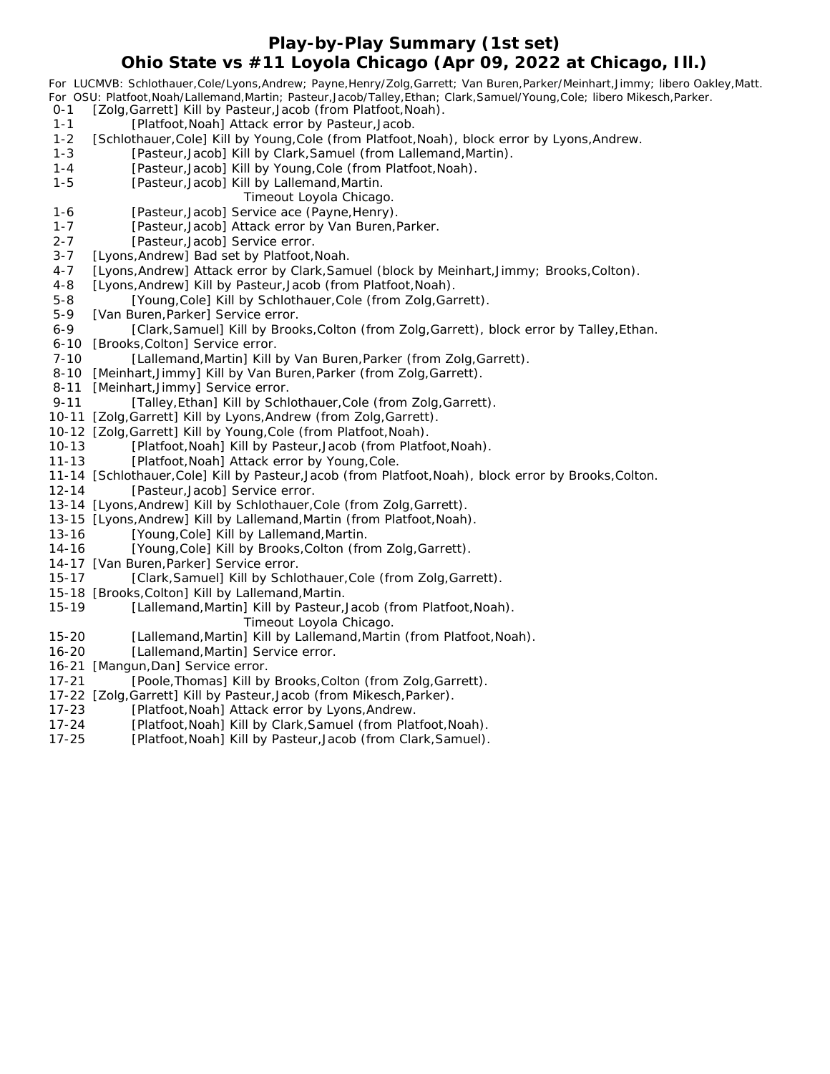## **Play-by-Play Summary (1st set) Ohio State vs #11 Loyola Chicago (Apr 09, 2022 at Chicago, Ill.)**

*For LUCMVB: Schlothauer,Cole/Lyons,Andrew; Payne,Henry/Zolg,Garrett; Van Buren,Parker/Meinhart,Jimmy; libero Oakley,Matt. For OSU: Platfoot,Noah/Lallemand,Martin; Pasteur,Jacob/Talley,Ethan; Clark,Samuel/Young,Cole; libero Mikesch,Parker.*

- 0-1 [Zolg,Garrett] Kill by Pasteur, Jacob (from Platfoot, Noah). 1-1 [Platfoot, Noah] Attack error by Pasteur, Jacob.
- 
- 1-2 [Schlothauer, Cole] Kill by Young, Cole (from Platfoot, Noah), block error by Lyons, Andrew.
- 1-3 [Pasteur,Jacob] Kill by Clark,Samuel (from Lallemand,Martin).
- 1-4 [Pasteur,Jacob] Kill by Young,Cole (from Platfoot, Noah).
- 1-5 [Pasteur, Jacob] Kill by Lallemand, Martin.
	- *Timeout Loyola Chicago.*
- 1-6 [Pasteur,Jacob] Service ace (Payne, Henry).
- 1-7 [Pasteur, Jacob] Attack error by Van Buren, Parker.
- 2-7 [Pasteur, Jacob] Service error.
- 3-7 [Lyons, Andrew] Bad set by Platfoot, Noah.
- 4-7 [Lyons, Andrew] Attack error by Clark, Samuel (block by Meinhart, Jimmy; Brooks, Colton).
- 4-8 [Lyons, Andrew] Kill by Pasteur, Jacob (from Platfoot, Noah).
- 5-8 [Young,Cole] Kill by Schlothauer,Cole (from Zolg,Garrett).
- 5-9 [Van Buren, Parker] Service error.
- 6-9 [Clark,Samuel] Kill by Brooks,Colton (from Zolg,Garrett), block error by Talley,Ethan.
- 6-10 [Brooks, Colton] Service error.
- 7-10 [Lallemand, Martin] Kill by Van Buren, Parker (from Zolg, Garrett).
- 8-10 [Meinhart, Jimmy] Kill by Van Buren, Parker (from Zolg, Garrett).
- 8-11 [Meinhart, Jimmy] Service error.
- 9-11 [Talley, Ethan] Kill by Schlothauer, Cole (from Zolg, Garrett).
- 10-11 [Zolg,Garrett] Kill by Lyons,Andrew (from Zolg,Garrett).
- 10-12 [Zolg,Garrett] Kill by Young,Cole (from Platfoot,Noah).
- 10-13 [Platfoot,Noah] Kill by Pasteur,Jacob (from Platfoot,Noah).
- 11-13 [Platfoot,Noah] Attack error by Young,Cole.
- 11-14 [Schlothauer,Cole] Kill by Pasteur,Jacob (from Platfoot,Noah), block error by Brooks,Colton.
- 12-14 [Pasteur,Jacob] Service error.
- 13-14 [Lyons,Andrew] Kill by Schlothauer,Cole (from Zolg,Garrett).
- 13-15 [Lyons,Andrew] Kill by Lallemand,Martin (from Platfoot,Noah).
- 13-16 [Young,Cole] Kill by Lallemand,Martin.
- 14-16 [Young,Cole] Kill by Brooks,Colton (from Zolg,Garrett).
- 14-17 [Van Buren,Parker] Service error.
- 15-17 [Clark,Samuel] Kill by Schlothauer,Cole (from Zolg,Garrett).
- 15-18 [Brooks,Colton] Kill by Lallemand,Martin.
- 15-19 [Lallemand,Martin] Kill by Pasteur,Jacob (from Platfoot,Noah).
- *Timeout Loyola Chicago.*
- 15-20 [Lallemand,Martin] Kill by Lallemand,Martin (from Platfoot,Noah).
- 16-20 [Lallemand,Martin] Service error.
- 16-21 [Mangun,Dan] Service error.
- 17-21 [Poole,Thomas] Kill by Brooks,Colton (from Zolg,Garrett).
- 17-22 [Zolg,Garrett] Kill by Pasteur,Jacob (from Mikesch,Parker).
- 17-23 [Platfoot,Noah] Attack error by Lyons,Andrew.
- 17-24 [Platfoot,Noah] Kill by Clark,Samuel (from Platfoot,Noah).
- 17-25 [Platfoot,Noah] Kill by Pasteur,Jacob (from Clark,Samuel).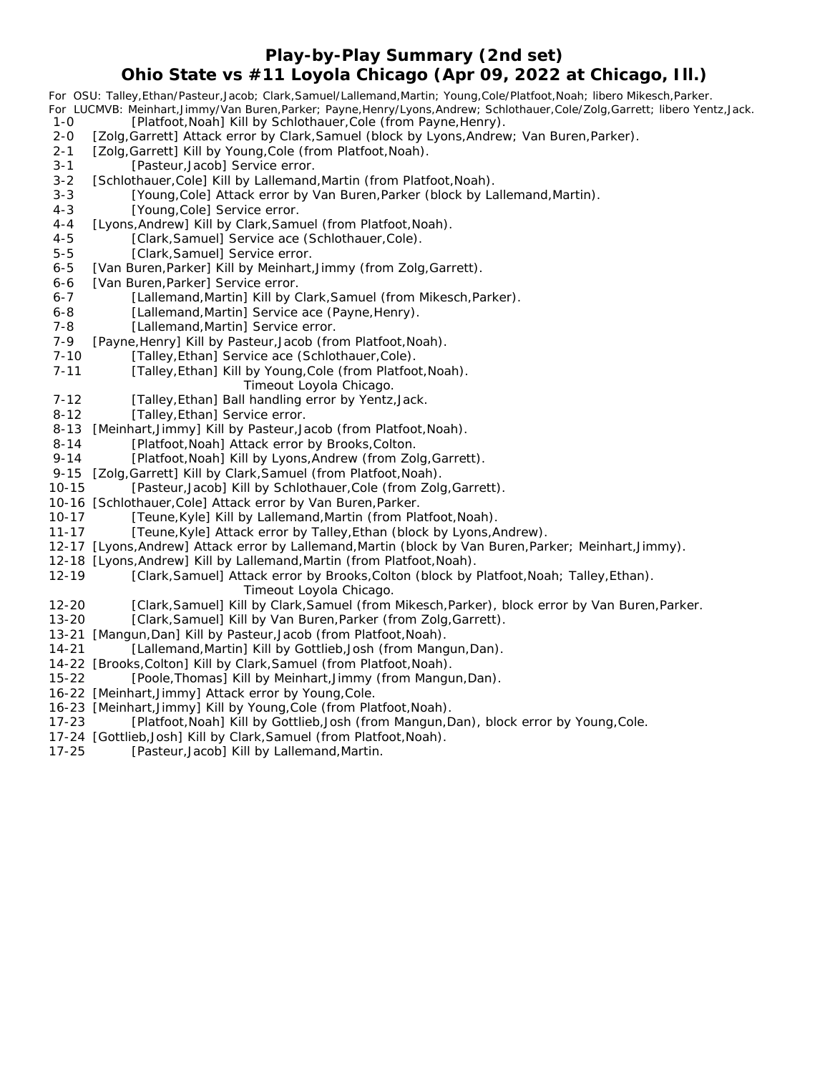# **Play-by-Play Summary (2nd set) Ohio State vs #11 Loyola Chicago (Apr 09, 2022 at Chicago, Ill.)**

*For OSU: Talley,Ethan/Pasteur,Jacob; Clark,Samuel/Lallemand,Martin; Young,Cole/Platfoot,Noah; libero Mikesch,Parker. For LUCMVB: Meinhart,Jimmy/Van Buren,Parker; Payne,Henry/Lyons,Andrew; Schlothauer,Cole/Zolg,Garrett; libero Yentz,Jack.*

- [Platfoot, Noah] Kill by Schlothauer, Cole (from Payne, Henry).
- 2-0 [Zolg,Garrett] Attack error by Clark,Samuel (block by Lyons,Andrew; Van Buren,Parker).
- 2-1 [Zolg,Garrett] Kill by Young,Cole (from Platfoot, Noah).
- 3-1 [Pasteur, Jacob] Service error.
- 3-2 [Schlothauer, Cole] Kill by Lallemand, Martin (from Platfoot, Noah).
- 3-3 [Young,Cole] Attack error by Van Buren, Parker (block by Lallemand, Martin).
- 4-3 [Young, Cole] Service error.
- 4-4 [Lyons, Andrew] Kill by Clark, Samuel (from Platfoot, Noah).
- 4-5 [Clark,Samuel] Service ace (Schlothauer,Cole).
- 5-5 [Clark, Samuel] Service error.
- 6-5 [Van Buren, Parker] Kill by Meinhart, Jimmy (from Zolg, Garrett).
- 6-6 [Van Buren, Parker] Service error.
- 6-7 [Lallemand, Martin] Kill by Clark, Samuel (from Mikesch, Parker).
- 6-8 [Lallemand, Martin] Service ace (Payne, Henry).
- 7-8 [Lallemand, Martin] Service error.
- 7-9 [Payne, Henry] Kill by Pasteur, Jacob (from Platfoot, Noah).
- 7-10 [Talley, Ethan] Service ace (Schlothauer, Cole).
- 7-11 [Talley, Ethan] Kill by Young, Cole (from Platfoot, Noah). *Timeout Loyola Chicago.*
- 7-12 [Talley, Ethan] Ball handling error by Yentz, Jack.
- 8-12 [Talley, Ethan] Service error.
- 8-13 [Meinhart,Jimmy] Kill by Pasteur,Jacob (from Platfoot, Noah).
- 8-14 [Platfoot, Noah] Attack error by Brooks, Colton.
- 9-14 [Platfoot, Noah] Kill by Lyons, Andrew (from Zolg, Garrett).
- 9-15 [Zolg,Garrett] Kill by Clark,Samuel (from Platfoot, Noah).
- 10-15 [Pasteur,Jacob] Kill by Schlothauer,Cole (from Zolg,Garrett).
- 10-16 [Schlothauer,Cole] Attack error by Van Buren,Parker.
- 10-17 [Teune, Kyle] Kill by Lallemand, Martin (from Platfoot, Noah).
- 11-17 [Teune,Kyle] Attack error by Talley,Ethan (block by Lyons,Andrew).
- 12-17 [Lyons,Andrew] Attack error by Lallemand,Martin (block by Van Buren,Parker; Meinhart,Jimmy).
- 12-18 [Lyons,Andrew] Kill by Lallemand,Martin (from Platfoot,Noah).
- 12-19 [Clark,Samuel] Attack error by Brooks,Colton (block by Platfoot,Noah; Talley,Ethan).
	- *Timeout Loyola Chicago.*
- 12-20 [Clark,Samuel] Kill by Clark,Samuel (from Mikesch,Parker), block error by Van Buren,Parker.
- 13-20 [Clark,Samuel] Kill by Van Buren,Parker (from Zolg,Garrett).
- 13-21 [Mangun,Dan] Kill by Pasteur,Jacob (from Platfoot,Noah).
- 14-21 [Lallemand,Martin] Kill by Gottlieb,Josh (from Mangun,Dan).
- 14-22 [Brooks,Colton] Kill by Clark,Samuel (from Platfoot,Noah).
- 15-22 [Poole,Thomas] Kill by Meinhart,Jimmy (from Mangun,Dan).
- 16-22 [Meinhart,Jimmy] Attack error by Young,Cole.
- 16-23 [Meinhart,Jimmy] Kill by Young,Cole (from Platfoot,Noah).
- 17-23 [Platfoot,Noah] Kill by Gottlieb,Josh (from Mangun,Dan), block error by Young,Cole.
- 17-24 [Gottlieb,Josh] Kill by Clark,Samuel (from Platfoot,Noah).
- 17-25 [Pasteur,Jacob] Kill by Lallemand,Martin.